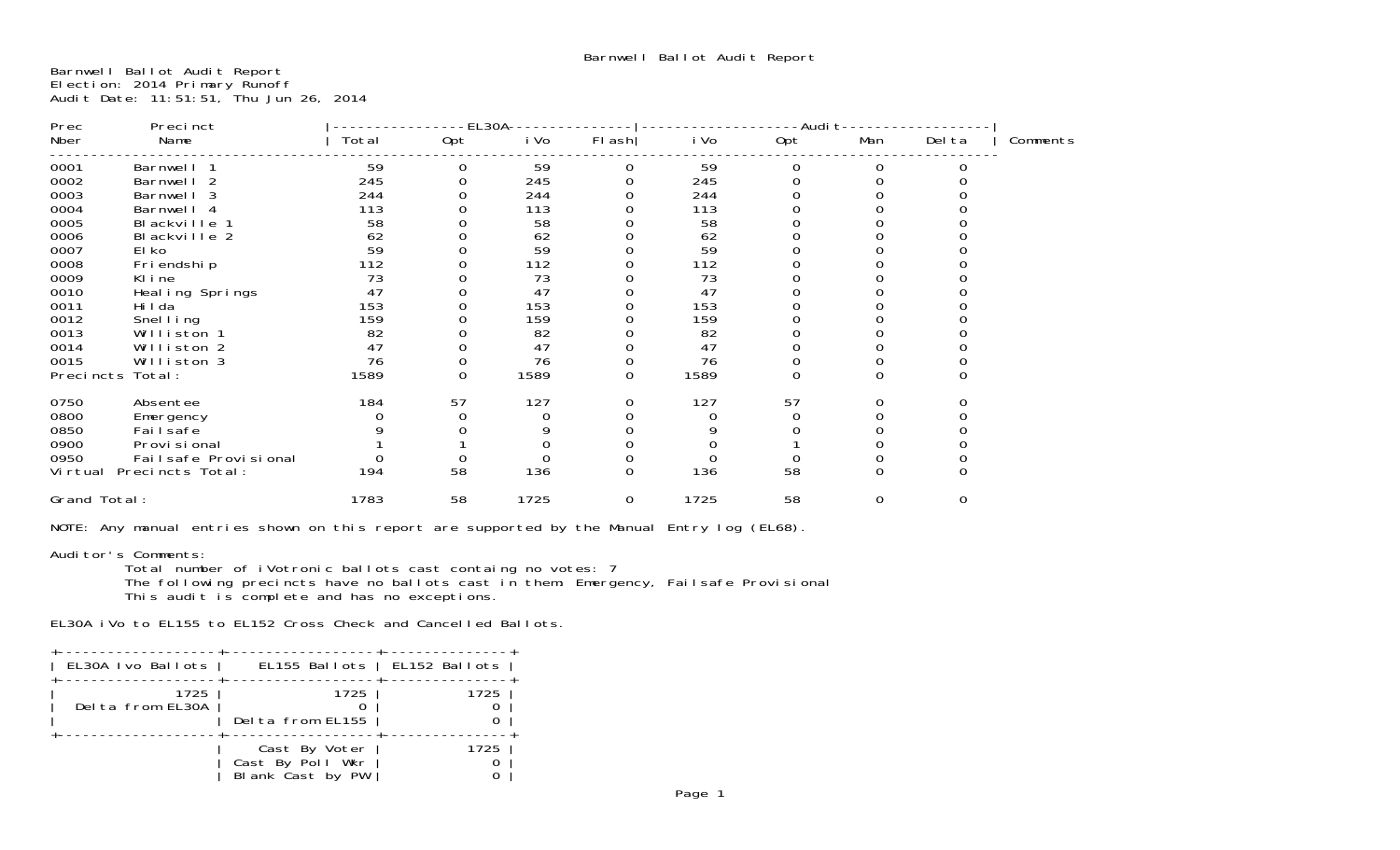Barnwell Ballot Audit Report Election: 2014 Primary Runoff Audit Date: 11:51:51, Thu Jun 26, 2014

| Prec         | Precinct                 |       | EL30A-   |      |             |      | -Audi t∙ |          |          |          |
|--------------|--------------------------|-------|----------|------|-------------|------|----------|----------|----------|----------|
| Nber         | Name                     | Total | Opt      | i Vo | $FI$ ash    | i Vo | Opt      | Man      | Del ta   | Comments |
| 0001         | Barnwell 1               | 59    | 0        | 59   | 0           | 59   | 0        | 0        |          |          |
| 0002         | Barnwell 2               | 245   |          | 245  |             | 245  |          |          |          |          |
| 0003         | Barnwell 3               | 244   |          | 244  |             | 244  |          |          |          |          |
| 0004         | Barnwell 4               | 113   |          | 113  |             | 113  |          |          |          |          |
| 0005         | Blackville 1             | 58    |          | 58   |             | 58   |          |          |          |          |
| 0006         | Blackville 2             | 62    |          | 62   |             | 62   |          |          |          |          |
| 0007         | El ko                    | 59    |          | 59   |             | 59   |          |          |          |          |
| 0008         | Fri endshi p             | 112   |          | 112  |             | 112  |          |          |          |          |
| 0009         | Kline                    | 73    |          | 73   |             | 73   |          |          |          |          |
| 0010         | Heal ing Springs         | 47    |          | 47   |             | 47   |          |          |          |          |
| 0011         | Hi I da                  | 153   |          | 153  |             | 153  |          |          |          |          |
| 0012         | Snel I ing               | 159   |          | 159  |             | 159  |          |          |          |          |
| 0013         | Williston 1              | 82    |          | 82   |             | 82   |          |          |          |          |
| 0014         | Williston 2              | 47    |          | 47   |             | 47   |          |          |          |          |
| 0015         | Williston 3              | 76    |          | 76   |             | 76   |          |          |          |          |
|              | Precincts Total:         | 1589  | $\Omega$ | 1589 | 0           | 1589 | $\Omega$ | $\Omega$ |          |          |
| 0750         | Absentee                 | 184   | 57       | 127  | O           | 127  | 57       |          |          |          |
| 0800         | Emergency                |       |          | 0    |             |      |          |          |          |          |
| 0850         | Fai I safe               |       |          |      |             |      |          |          |          |          |
| 0900         | Provi si onal            |       |          |      |             |      |          |          |          |          |
| 0950         | Failsafe Provisional     |       |          |      |             |      |          |          |          |          |
|              | Virtual Precincts Total: | 194   | 58       | 136  | $\mathbf 0$ | 136  | 58       | $\Omega$ |          |          |
| Grand Total: |                          | 1783  | 58       | 1725 | 0           | 1725 | 58       | $\Omega$ | $\Omega$ |          |
|              |                          |       |          |      |             |      |          |          |          |          |

NOTE: Any manual entries shown on this report are supported by the Manual Entry log (EL68).

Auditor's Comments: Total number of iVotronic ballots cast containg no votes: 7 The following precincts have no ballots cast in them: Emergency, Failsafe Provisional This audit is complete and has no exceptions.

EL30A iVo to EL155 to EL152 Cross Check and Cancelled Ballots.

| EL30A Ivo Ballots        | EL155 Ballots   EL152 Ballots                         |      |
|--------------------------|-------------------------------------------------------|------|
| 1725<br>Delta from EL30A | 1725<br>Delta from EL155                              | 1725 |
|                          | Cast By Voter<br>Cast By Poll Wkr<br>Blank Cast by PW | 1725 |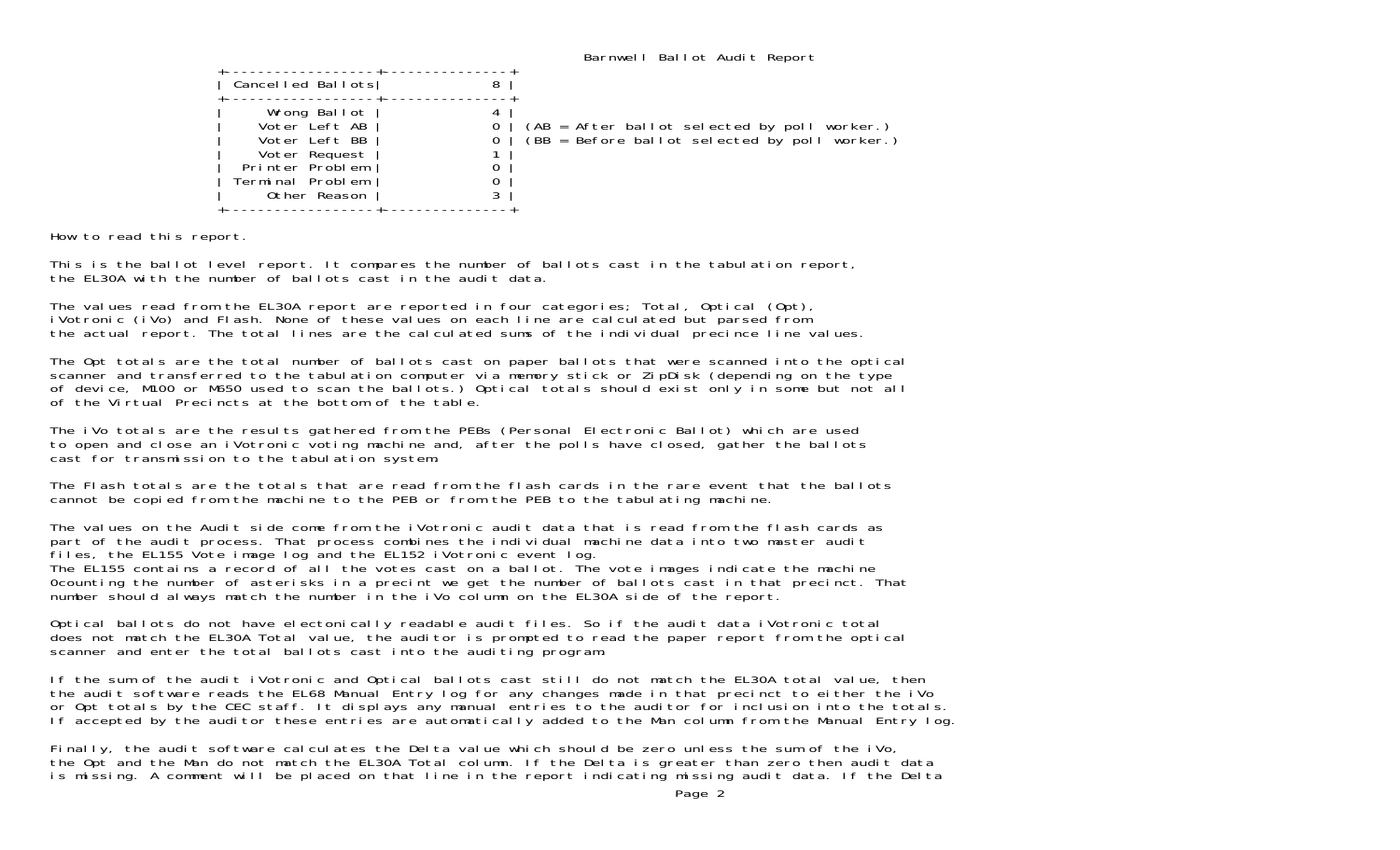| Cancelled Ballots                                                                                                      |                                                                                                 |
|------------------------------------------------------------------------------------------------------------------------|-------------------------------------------------------------------------------------------------|
| Wrong Ballot<br>Voter Left AB<br>Voter Left BB<br>Voter Request<br>Printer Problem<br>Terminal Problem<br>Other Reason | (AB = After ballot selected by poll worker.)<br>$(BB = Before ballot selected by poll worker.)$ |
|                                                                                                                        |                                                                                                 |

How to read this report.

This is the ballot level report. It compares the number of ballots cast in the tabulation report, the EL30A with the number of ballots cast in the audit data.

The values read from the EL30A report are reported in four categories; Total, Optical (Opt), iVotronic (iVo) and Flash. None of these values on each line are calculated but parsed from the actual report. The total lines are the calculated sums of the individual precince line values.

The Opt totals are the total number of ballots cast on paper ballots that were scanned into the optical scanner and transferred to the tabulation computer via memory stick or ZipDisk (depending on the type of device, M100 or M650 used to scan the ballots.) Optical totals should exist only in some but not all of the Virtual Precincts at the bottom of the table.

The iVo totals are the results gathered from the PEBs (Personal Electronic Ballot) which are used to open and close an iVotronic voting machine and, after the polls have closed, gather the ballots cast for transmission to the tabulation system.

The Flash totals are the totals that are read from the flash cards in the rare event that the ballotscannot be copied from the machine to the PEB or from the PEB to the tabulating machine.

The values on the Audit side come from the iVotronic audit data that is read from the flash cards as part of the audit process. That process combines the individual machine data into two master audit files, the EL155 Vote image log and the EL152 iVotronic event log. The EL155 contains a record of all the votes cast on a ballot. The vote images indicate the machine

0counting the number of asterisks in a precint we get the number of ballots cast in that precinct. That number should always match the number in the iVo column on the EL30A side of the report.

Optical ballots do not have electonically readable audit files. So if the audit data iVotronic total does not match the EL30A Total value, the auditor is prompted to read the paper report from the optical scanner and enter the total ballots cast into the auditing program.

If the sum of the audit iVotronic and Optical ballots cast still do not match the EL30A total value, then the audit software reads the EL68 Manual Entry log for any changes made in that precinct to either the iVo or Opt totals by the CEC staff. It displays any manual entries to the auditor for inclusion into the totals. If accepted by the auditor these entries are automatically added to the Man column from the Manual Entry log.

Finally, the audit software calculates the Delta value which should be zero unless the sum of the iVo, the Opt and the Man do not match the EL30A Total column. If the Delta is greater than zero then audit data is missing. A comment will be placed on that line in the report indicating missing audit data. If the Delta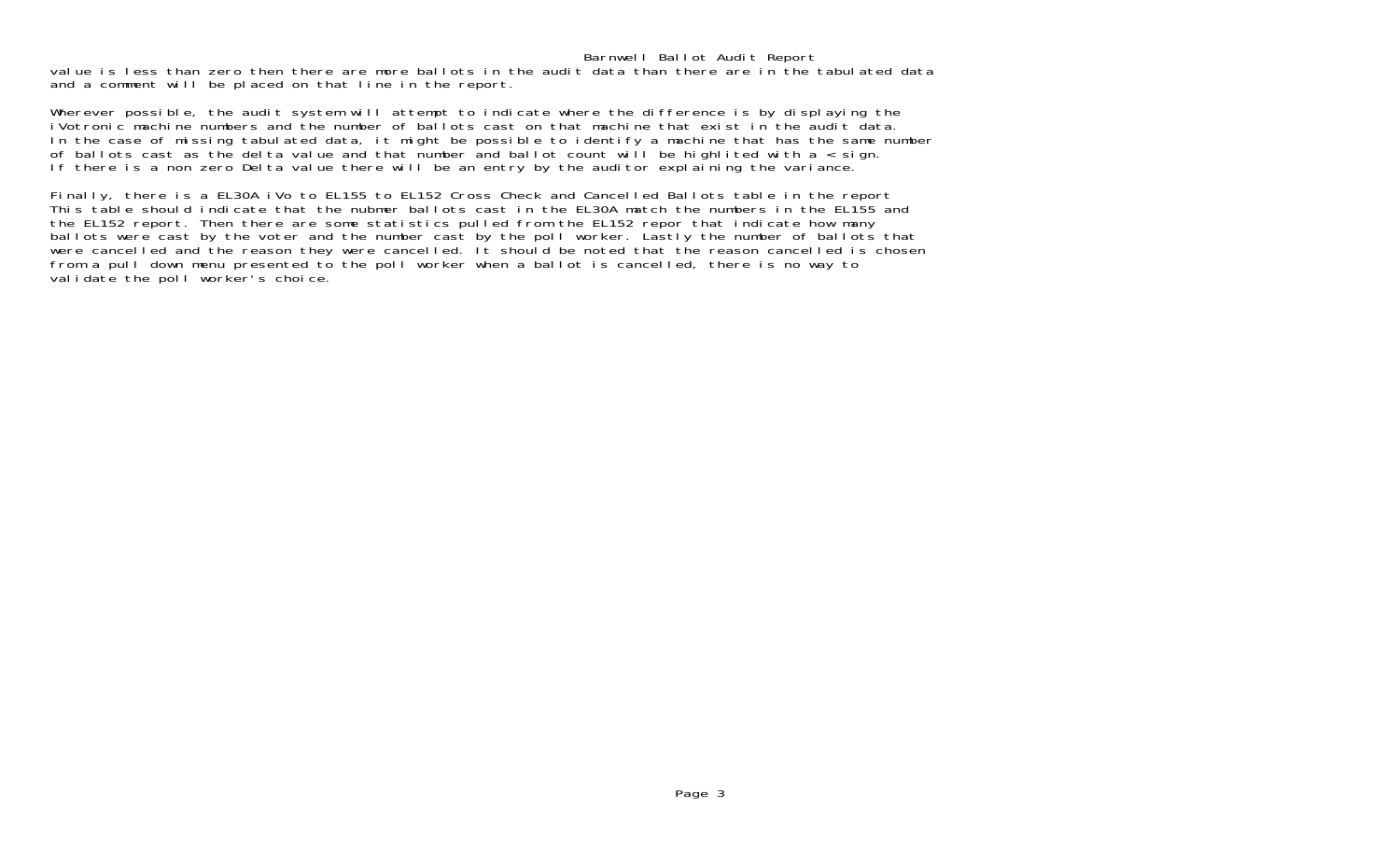value is less than zero then there are more ballots in the audit data than there are in the tabulated data and a comment will be placed on that line in the report.

Wherever possible, the audit system will attempt to indicate where the difference is by displaying the iVotronic machine numbers and the number of ballots cast on that machine that exist in the audit data. In the case of missing tabulated data, it might be possible to identify a machine that has the same number of ballots cast as the delta value and that number and ballot count will be highlited with a < sign. If there is a non zero Delta value there will be an entry by the auditor explaining the variance.

Finally, there is a EL30A iVo to EL155 to EL152 Cross Check and Cancelled Ballots table in the report This table should indicate that the nubmer ballots cast in the EL30A match the numbers in the EL155 and the EL152 report. Then there are some statistics pulled from the EL152 repor that indicate how many ballots were cast by the voter and the number cast by the poll worker. Lastly the number of ballots that were cancelled and the reason they were cancelled. It should be noted that the reason cancelled is chosen from a pull down menu presented to the poll worker when a ballot is cancelled, there is no way to validate the poll worker's choice.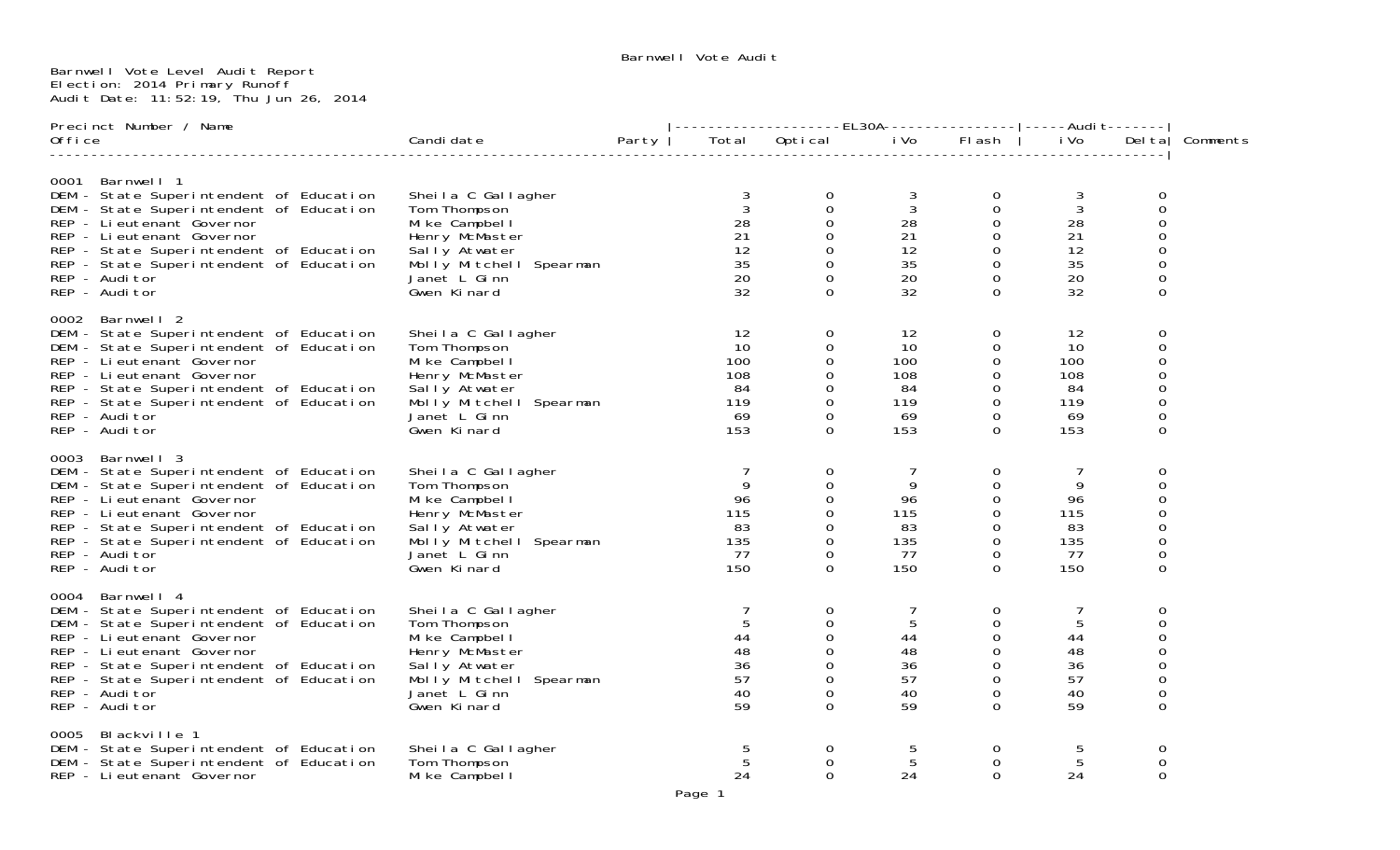## Barnwell Vote Level Audit Report Election: 2014 Primary Runoff Audit Date: 11:52:19, Thu Jun 26, 2014

| Precinct Number / Name |                                                                                                                                                                                                                                                                                           |                                                                                                                                                  |       | --------------------EL30A----------------- -----Audi                         t------- |                                                                                                      |                                                       |                                                                                                                 |                                                         |                                                                                             |          |  |
|------------------------|-------------------------------------------------------------------------------------------------------------------------------------------------------------------------------------------------------------------------------------------------------------------------------------------|--------------------------------------------------------------------------------------------------------------------------------------------------|-------|---------------------------------------------------------------------------------------|------------------------------------------------------------------------------------------------------|-------------------------------------------------------|-----------------------------------------------------------------------------------------------------------------|---------------------------------------------------------|---------------------------------------------------------------------------------------------|----------|--|
| Office                 |                                                                                                                                                                                                                                                                                           | Candi date                                                                                                                                       | Party |                                                                                       | Total Optical                                                                                        | i Vo                                                  | Flash                                                                                                           | i Vo                                                    | Del ta                                                                                      | Comments |  |
|                        | 0001 Barnwell 1<br>DEM - State Superintendent of Education<br>DEM - State Superintendent of Education<br>REP - Li eutenant Governor<br>REP - Lieutenant Governor<br>REP - State Superintendent of Education<br>REP - State Superintendent of Education<br>REP - Auditor<br>REP - Auditor  | Sheila C Gallagher<br>Tom Thompson<br>Mike Campbell<br>Henry McMaster<br>Sally Atwater<br>Molly Mitchell Spearman<br>Janet L Ginn<br>Gwen Kinard |       | 3<br>$\mathbf{3}$<br>28<br>21<br>12<br>35<br>20<br>32                                 | 0<br>$\mathbf 0$<br>0<br>$\mathbf 0$<br>0<br>$\mathbf 0$<br>$\mathbf 0$<br>$\Omega$                  | 3<br>$\mathbf{3}$<br>28<br>21<br>12<br>35<br>20<br>32 | $\mathbf{O}$<br>0<br>$\overline{0}$<br>$\overline{0}$<br>$\Omega$<br>$\Omega$<br>0<br>$\Omega$                  | 3<br>$\mathfrak{Z}$<br>28<br>21<br>12<br>35<br>20<br>32 | 0<br>$\mathbf 0$<br>0<br>$\mathbf 0$<br>0<br>$\mathbf 0$<br>$\mathsf{O}\xspace$<br>$\Omega$ |          |  |
|                        | 0002 Barnwell 2<br>DEM - State Superintendent of Education<br>DEM - State Superintendent of Education<br>REP - Lieutenant Governor<br>REP - Lieutenant Governor<br>REP - State Superintendent of Education<br>REP - State Superintendent of Education<br>REP - Auditor<br>REP - Auditor   | Sheila C Gallagher<br>Tom Thompson<br>Mike Campbell<br>Henry McMaster<br>Sally Atwater<br>Molly Mitchell Spearman<br>Janet L Ginn<br>Gwen Kinard |       | 12<br>10<br>100<br>108<br>84<br>119<br>69<br>153                                      | $\mathbf 0$<br>0<br>0<br>$\mathbf 0$<br>$\Omega$<br>$\mathbf 0$<br>$\mathbf 0$<br>$\Omega$           | 12<br>10<br>100<br>108<br>84<br>119<br>69<br>153      | $\mathbf 0$<br>0<br>0<br>$\mathbf 0$<br>$\Omega$<br>$\overline{0}$<br>0<br>$\Omega$                             | 12<br>10<br>100<br>108<br>84<br>119<br>69<br>153        | 0<br>0<br>$\mathbf 0$<br>0<br>0<br>0<br>0<br>0                                              |          |  |
|                        | 0003 Barnwell 3<br>DEM - State Superintendent of Education<br>DEM - State Superintendent of Education<br>REP - Li eutenant Governor<br>REP - Li eutenant Governor<br>REP - State Superintendent of Education<br>REP - State Superintendent of Education<br>REP - Auditor<br>REP - Auditor | Sheila C Gallagher<br>Tom Thompson<br>Mike Campbell<br>Henry McMaster<br>Sally Atwater<br>Molly Mitchell Spearman<br>Janet L Ginn<br>Gwen Kinard |       | $\overline{7}$<br>9<br>96<br>115<br>83<br>135<br>77<br>150                            | $\mathbf 0$<br>$\mathbf 0$<br>0<br>0<br>$\mathbf 0$<br>$\mathbf 0$<br>$\mathbf 0$<br>$\Omega$        | 7<br>9<br>96<br>115<br>83<br>135<br>77<br>150         | $\mathbf{O}$<br>$\mathbf{O}$<br>$\overline{0}$<br>$\overline{0}$<br>$\Omega$<br>$\overline{0}$<br>0<br>$\Omega$ | 9<br>96<br>115<br>83<br>135<br>77<br>150                | 0<br>$\mathbf 0$<br>0<br>0<br>0<br>$\mathbf 0$<br>$\mathsf{O}\xspace$<br>0                  |          |  |
|                        | 0004 Barnwell 4<br>DEM - State Superintendent of Education<br>DEM - State Superintendent of Education<br>REP - Li eutenant Governor<br>REP - Li eutenant Governor<br>REP - State Superintendent of Education<br>REP - State Superintendent of Education<br>REP - Auditor<br>REP - Auditor | Sheila C Gallagher<br>Tom Thompson<br>Mike Campbell<br>Henry McMaster<br>Sally Atwater<br>Molly Mitchell Spearman<br>Janet L Ginn<br>Gwen Kinard |       | 7<br>5<br>44<br>48<br>36<br>57<br>40<br>59                                            | $\mathbf 0$<br>$\mathbf 0$<br>$\mathbf 0$<br>$\mathbf 0$<br>$\Omega$<br>0<br>$\mathbf 0$<br>$\Omega$ | 7<br>5<br>44<br>48<br>36<br>57<br>40<br>59            | 0<br>$\Omega$<br>0<br>0<br>$\Omega$<br>$\mathbf 0$<br>0<br>$\Omega$                                             | 5<br>44<br>48<br>36<br>57<br>40<br>59                   | 0<br>0<br>0<br>0<br>0<br>0<br>0<br>0                                                        |          |  |
|                        | 0005 Blackville 1<br>DEM - State Superintendent of Education<br>DEM - State Superintendent of Education<br>REP - Li eutenant Governor                                                                                                                                                     | Sheila C Gallagher<br>Tom Thompson<br>Mike Campbell                                                                                              |       | 5<br>24                                                                               | 0<br>$\mathbf 0$<br>$\Omega$                                                                         | 5<br>5<br>24                                          | 0<br>$\Omega$<br>$\Omega$                                                                                       | 5<br>5<br>24                                            | 0<br>$\Omega$<br>$\Omega$                                                                   |          |  |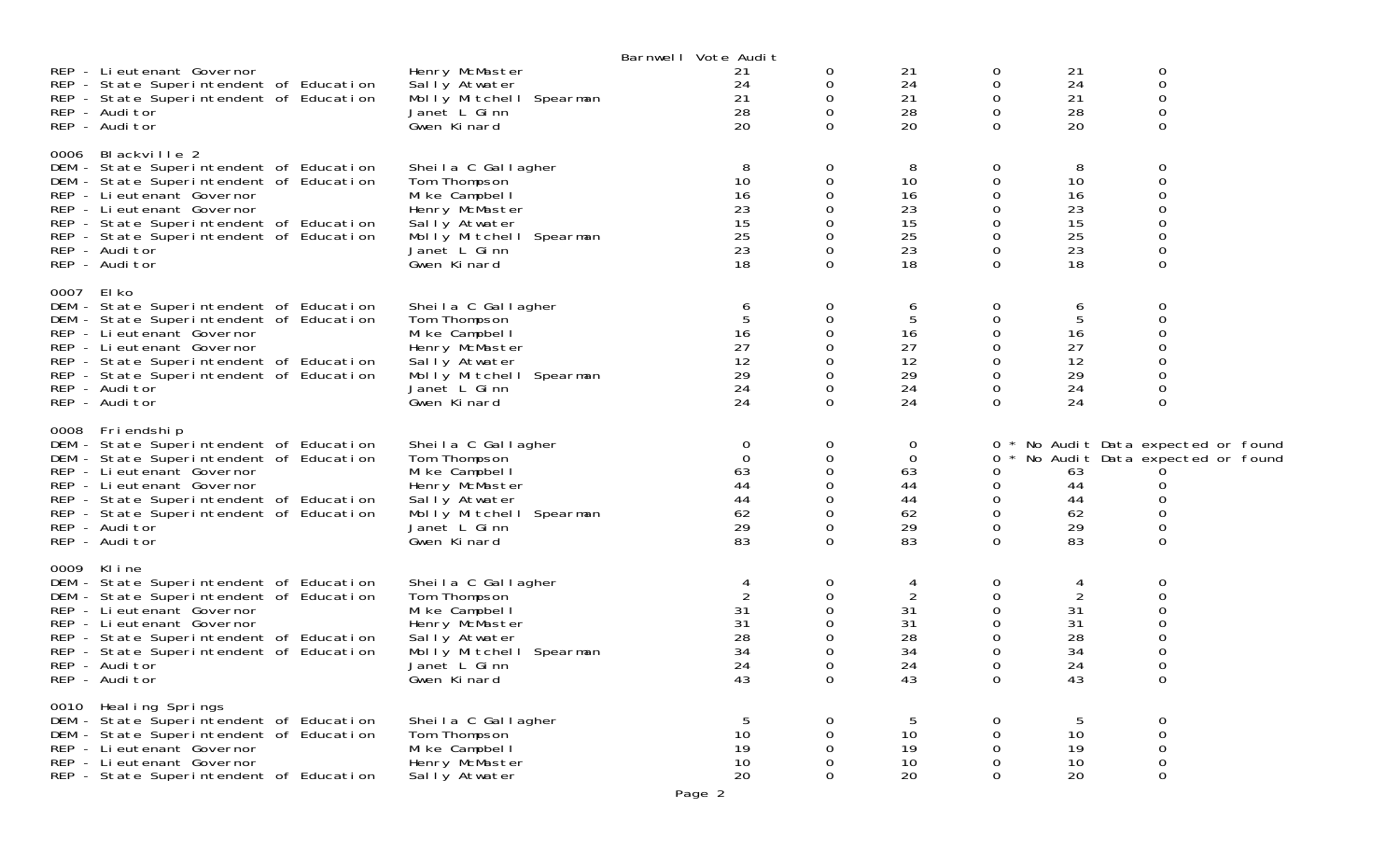|      | REP - Lieutenant Governor<br>REP - State Superintendent of Education                                                                                                                                                                                                                       | Henry McMaster<br>Sally Atwater                                                                                                                    | Barnwell Vote Audit<br>21<br>24             | 0<br>0                                   | 21<br>24                                                | 0<br>0                                      | 21<br>24                                    | 0<br>$\mathbf 0$                                                                                            |  |
|------|--------------------------------------------------------------------------------------------------------------------------------------------------------------------------------------------------------------------------------------------------------------------------------------------|----------------------------------------------------------------------------------------------------------------------------------------------------|---------------------------------------------|------------------------------------------|---------------------------------------------------------|---------------------------------------------|---------------------------------------------|-------------------------------------------------------------------------------------------------------------|--|
|      | REP - State Superintendent of Education<br>REP - Auditor<br>REP - Auditor                                                                                                                                                                                                                  | Molly Mitchell Spearman<br>Janet L Ginn<br>Gwen Kinard                                                                                             | 21<br>28<br>20                              | 0<br>$\Omega$<br>0                       | 21<br>28<br>20                                          | 0<br>0<br>0                                 | 21<br>28<br>20                              | 0<br>$\mathbf 0$<br>0                                                                                       |  |
|      | 0006 Blackville 2<br>DEM - State Superintendent of Education<br>DEM - State Superintendent of Education<br>REP - Lieutenant Governor<br>REP - Li eutenant Governor<br>REP - State Superintendent of Education<br>REP - State Superintendent of Education<br>REP - Auditor<br>REP - Auditor | Sheila C Gallagher<br>Tom Thompson<br>Mike Campbell<br>Henry McMaster<br>Sally Atwater<br>Molly Mitchell Spearman<br>Janet L Ginn<br>Gwen Kinard   | 8<br>10<br>16<br>23<br>15<br>25<br>23<br>18 | 0<br>0<br>0<br>$\Omega$                  | 8<br>10<br>16<br>23<br>15<br>25<br>23<br>18             | 0<br>0<br>0<br>0<br>0<br>0<br>0<br>$\Omega$ | 8<br>10<br>16<br>23<br>15<br>25<br>23<br>18 | 0<br>$\mathbf 0$<br>$\Omega$<br>$\Omega$<br>0<br>$\Omega$                                                   |  |
| 0007 | El ko<br>DEM - State Superintendent of Education<br>DEM - State Superintendent of Education<br>REP - Li eutenant Governor<br>REP - Li eutenant Governor<br>REP - State Superintendent of Education<br>REP - State Superintendent of Education<br>REP - Auditor<br>REP - Auditor            | Sheila C Gallagher<br>Tom Thompson<br>Mike Campbell<br>Henry McMaster<br>Sally Atwater<br>Molly Mitchell Spearman<br>Janet L Ginn<br>Gwen Kinard   | 6<br>16<br>27<br>12<br>29<br>24<br>24       | 0<br>0<br>0<br>0<br>$\Omega$             | 6<br>5<br>16<br>27<br>12<br>29<br>24<br>24              | 0<br>0<br>0<br>0<br>0<br>0<br>0<br>$\Omega$ | 6<br>5<br>16<br>27<br>12<br>29<br>24<br>24  | 0<br>$\Omega$<br>0<br>0                                                                                     |  |
|      | 0008 Friendship<br>DEM - State Superintendent of Education<br>DEM - State Superintendent of Education<br>REP - Li eutenant Governor<br>REP - Lieutenant Governor<br>REP - State Superintendent of Education<br>REP - State Superintendent of Education<br>REP - Auditor<br>REP - Auditor   | Sheila C Gallagher<br>Tom Thompson<br>Mi ke Campbel I<br>Henry McMaster<br>Sally Atwater<br>Molly Mitchell Spearman<br>Janet L Ginn<br>Gwen Kinard | 0<br>0<br>63<br>44<br>44<br>62<br>29<br>83  | 0<br>0<br>0<br>$\Omega$<br>0<br>$\Omega$ | 0<br>$\mathbf 0$<br>63<br>44<br>44<br>62<br>29<br>83    | 0<br>0<br>0<br>0<br>0<br>0<br>0<br>$\Omega$ | 63<br>44<br>44<br>62<br>29<br>83            | * No Audit Data expected or found<br>No Audit Data expected or found<br>O<br>∩<br>$\Omega$<br>0<br>$\Omega$ |  |
|      | 0009 Kline<br>DEM - State Superintendent of Education<br>DEM - State Superintendent of Education<br>REP - Lieutenant Governor<br>REP - Li eutenant Governor<br>REP - State Superintendent of Education<br>REP - State Superintendent of Education<br>REP - Auditor<br>REP - Auditor        | Sheila C Gallagher<br>Tom Thompson<br>Mi ke Campbel I<br>Henry McMaster<br>Sally Atwater<br>Molly Mitchell Spearman<br>Janet L Ginn<br>Gwen Kinard | 4<br>31<br>31<br>28<br>34<br>24<br>43       | 0<br>0<br>0                              | 4<br>$\overline{2}$<br>31<br>31<br>28<br>34<br>24<br>43 | 0<br>0<br>0<br>0<br>0<br>0<br>0             | 4<br>31<br>31<br>28<br>34<br>24<br>43       | 0<br>$\Omega$<br>0                                                                                          |  |
|      | 0010 Heal ing Springs<br>DEM - State Superintendent of Education<br>DEM - State Superintendent of Education<br>REP - Li eutenant Governor<br>REP - Li eutenant Governor<br>REP - State Superintendent of Education                                                                         | Sheila C Gallagher<br>Tom Thompson<br>Mi ke Campbel I<br>Henry McMaster<br>Sally Atwater                                                           | 5<br>10<br>19<br>10<br>20                   | 0<br>0<br>0<br>0<br>0                    | 5<br>10<br>19<br>10<br>20                               | 0<br>0<br>0<br>0<br>0                       | 5<br>10<br>19<br>10<br>20                   | 0<br>$\mathsf{O}\xspace$<br>$\mathsf{O}\xspace$<br>$\mathbf 0$<br>$\boldsymbol{0}$                          |  |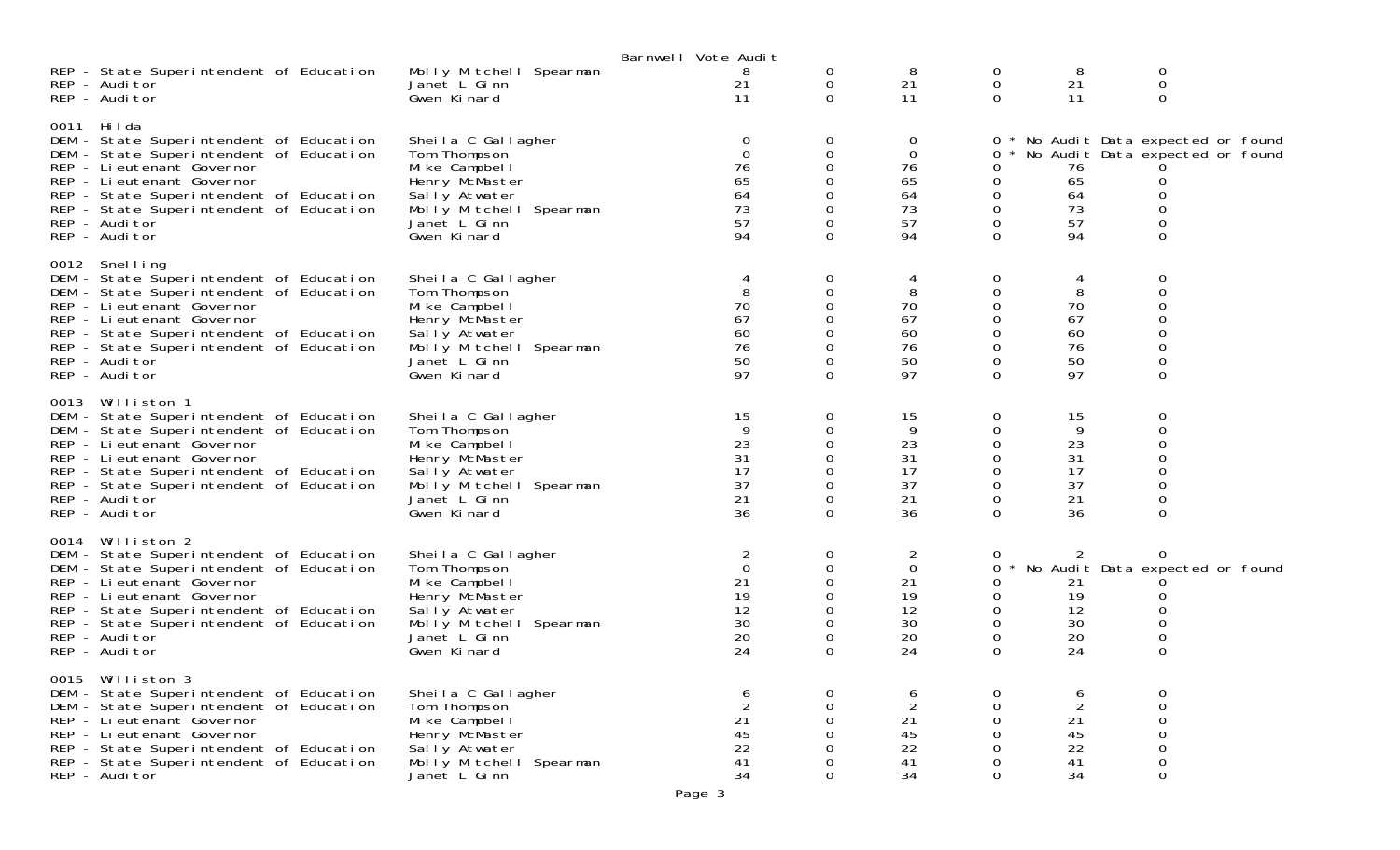|      |                                                                                                                                                                                                                                                                                           |                                                                                                                                                    | Barnwell Vote Audit                               |                                                                                                                        |                                                      |                                                              |                                                     |                                                                                  |  |
|------|-------------------------------------------------------------------------------------------------------------------------------------------------------------------------------------------------------------------------------------------------------------------------------------------|----------------------------------------------------------------------------------------------------------------------------------------------------|---------------------------------------------------|------------------------------------------------------------------------------------------------------------------------|------------------------------------------------------|--------------------------------------------------------------|-----------------------------------------------------|----------------------------------------------------------------------------------|--|
|      | REP - State Superintendent of Education<br>REP - Auditor<br>REP - Auditor                                                                                                                                                                                                                 | Molly Mitchell Spearman<br>Janet L Ginn<br>Gwen Kinard                                                                                             | 8<br>21<br>11                                     | 0<br>$\mathbf 0$<br>$\Omega$                                                                                           | 8<br>21<br>11                                        | $\overline{0}$<br>$\mathbf 0$<br>$\Omega$                    | 8<br>21<br>11                                       | 0<br>0<br>0                                                                      |  |
|      | 0011 Hilda<br>DEM - State Superintendent of Education<br>DEM - State Superintendent of Education<br>REP - Li eutenant Governor<br>REP - Lieutenant Governor<br>REP - State Superintendent of Education<br>REP - State Superintendent of Education<br>REP - Auditor<br>REP - Auditor       | Sheila C Gallagher<br>Tom Thompson<br>Mi ke Campbel I<br>Henry McMaster<br>Sally Atwater<br>Molly Mitchell Spearman<br>Janet L Ginn<br>Gwen Kinard | 0<br>$\Omega$<br>76<br>65<br>64<br>73<br>57<br>94 | 0<br>$\mathbf 0$<br>0<br>$\Omega$<br>0<br>$\mathbf 0$<br>$\mathbf 0$<br>$\mathbf 0$                                    | 0<br>0<br>76<br>65<br>64<br>73<br>57<br>94           | $\sigma$<br>0<br>0<br>0<br>0<br>$\mathbf 0$<br>0<br>$\Omega$ | 76<br>65<br>64<br>73<br>57<br>94                    | * No Audit Data expected or found<br>No Audit Data expected or found<br>$\Omega$ |  |
|      | 0012 Snelling<br>DEM - State Superintendent of Education<br>DEM - State Superintendent of Education<br>REP - Li eutenant Governor<br>REP - Lieutenant Governor<br>REP - State Superintendent of Education<br>REP - State Superintendent of Education<br>REP - Auditor<br>REP - Auditor    | Sheila C Gallagher<br>Tom Thompson<br>Mike Campbell<br>Henry McMaster<br>Sally Atwater<br>Molly Mitchell Spearman<br>Janet L Ginn<br>Gwen Kinard   | 4<br>8<br>70<br>67<br>60<br>76<br>50<br>97        | $\mathbf 0$<br>$\mathbf 0$<br>$\Omega$<br>$\mathbf 0$<br>0<br>$\Omega$<br>$\mathbf 0$<br>$\Omega$                      | 4<br>8<br>70<br>67<br>60<br>76<br>50<br>97           | 0<br>0<br>0<br>0<br>0<br>$\mathbf 0$<br>0                    | 4<br>8<br>70<br>67<br>60<br>76<br>50<br>97          | 0<br>0<br>$\Omega$<br>0<br>0                                                     |  |
| 0013 | Williston 1<br>DEM - State Superintendent of Education<br>DEM - State Superintendent of Education<br>REP - Lieutenant Governor<br>REP - Lieutenant Governor<br>REP - State Superintendent of Education<br>REP - State Superintendent of Education<br>REP - Auditor<br>REP - Auditor       | Sheila C Gallagher<br>Tom Thompson<br>Mi ke Campbel I<br>Henry McMaster<br>Sally Atwater<br>Molly Mitchell Spearman<br>Janet L Ginn<br>Gwen Kinard | 15<br>9<br>23<br>31<br>17<br>37<br>21<br>36       | $\mathbf 0$<br>$\mathbf 0$<br>$\boldsymbol{0}$<br>$\mathbf 0$<br>$\mathbf 0$<br>$\mathbf 0$<br>$\mathbf 0$<br>$\Omega$ | 15<br>9<br>23<br>31<br>17<br>37<br>21<br>36          | 0<br>0<br>0<br>0<br>0<br>$\boldsymbol{0}$<br>0<br>$\Omega$   | 15<br>9<br>23<br>31<br>17<br>37<br>21<br>36         | 0<br>0<br>$\mathbf 0$                                                            |  |
|      | 0014 Williston 2<br>DEM - State Superintendent of Education<br>DEM - State Superintendent of Education<br>REP - Li eutenant Governor<br>REP - Lieutenant Governor<br>REP - State Superintendent of Education<br>REP - State Superintendent of Education<br>REP - Auditor<br>REP - Auditor | Sheila C Gallagher<br>Tom Thompson<br>Mi ke Campbel I<br>Henry McMaster<br>Sally Atwater<br>Molly Mitchell Spearman<br>Janet L Ginn<br>Gwen Kinard | 2<br>0<br>21<br>19<br>12<br>30<br>20<br>24        | 0<br>$\mathbf 0$<br>$\mathbf 0$<br>$\mathbf 0$<br>$\mathbf 0$<br>$\mathbf 0$<br>0<br>$\Omega$                          | 2<br>$\mathbf 0$<br>21<br>19<br>12<br>30<br>20<br>24 | 0<br>0<br>0<br>0<br>0<br>0<br>0<br>$\Omega$                  | 2<br>21<br>19<br>12<br>30<br>20<br>24               | No Audit Data expected or found<br>$\boldsymbol{0}$<br>$\Omega$                  |  |
|      | 0015 Williston 3<br>DEM - State Superintendent of Education<br>DEM - State Superintendent of Education<br>REP - Li eutenant Governor<br>REP - Lieutenant Governor<br>REP - State Superintendent of Education<br>REP - State Superintendent of Education<br>REP - Auditor                  | Sheila C Gallagher<br>Tom Thompson<br>Mike Campbell<br>Henry McMaster<br>Sally Atwater<br>Molly Mitchell Spearman<br>Janet L Ginn                  | 6<br>21<br>45<br>22<br>41<br>34                   | 0<br>0<br>0<br>$\Omega$<br>$\Omega$<br>0<br>$\Omega$                                                                   | 6<br>$\overline{2}$<br>21<br>45<br>22<br>41<br>34    | 0<br>0<br>0<br>0<br>$\Omega$                                 | 6<br>$\boldsymbol{2}$<br>21<br>45<br>22<br>41<br>34 | 0<br>0<br>0<br>0<br>$\Omega$                                                     |  |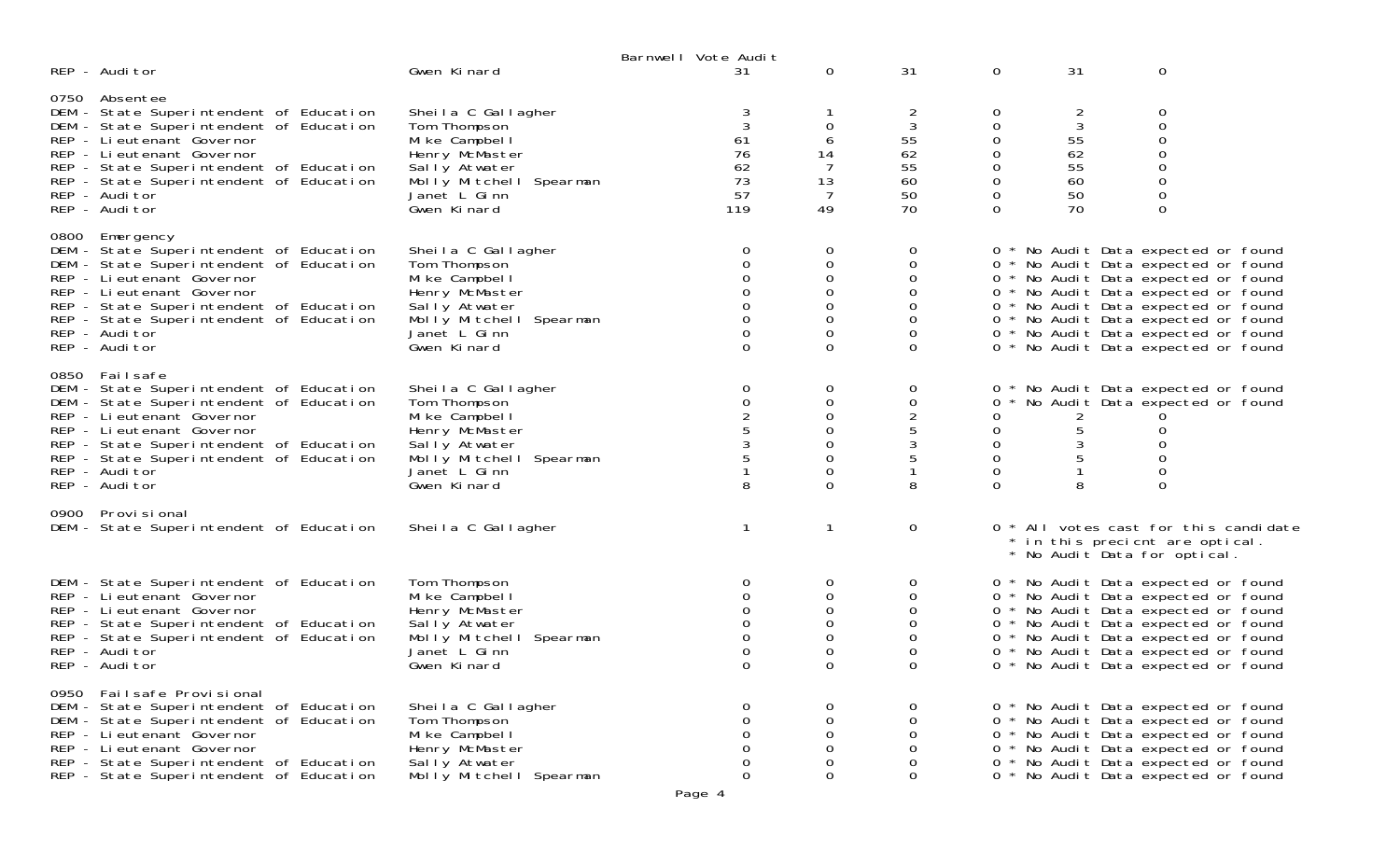|                                                                                                                                                                                                                                                                                         |                                                                                                                                                  | Barnwell Vote Audit |                                                                 |                                                                        |                                                                                  |                                                                    |                                                                    |                                                                                                                                                                                                                                                                                                                      |  |
|-----------------------------------------------------------------------------------------------------------------------------------------------------------------------------------------------------------------------------------------------------------------------------------------|--------------------------------------------------------------------------------------------------------------------------------------------------|---------------------|-----------------------------------------------------------------|------------------------------------------------------------------------|----------------------------------------------------------------------------------|--------------------------------------------------------------------|--------------------------------------------------------------------|----------------------------------------------------------------------------------------------------------------------------------------------------------------------------------------------------------------------------------------------------------------------------------------------------------------------|--|
| REP - Auditor                                                                                                                                                                                                                                                                           | Gwen Kinard                                                                                                                                      |                     | 31                                                              | $\mathbf{0}$                                                           | 31                                                                               | 0                                                                  | 31                                                                 | 0                                                                                                                                                                                                                                                                                                                    |  |
| 0750 Absentee<br>DEM - State Superintendent of Education<br>DEM - State Superintendent of Education<br>REP - Lieutenant Governor<br>REP - Lieutenant Governor<br>REP - State Superintendent of Education<br>REP - State Superintendent of Education<br>REP - Auditor<br>REP - Auditor   | Sheila C Gallagher<br>Tom Thompson<br>Mike Campbell<br>Henry McMaster<br>Sally Atwater<br>Molly Mitchell Spearman<br>Janet L Ginn<br>Gwen Kinard |                     | 3<br>61<br>76<br>62<br>73<br>57<br>119                          | $\mathbf 0$<br>6<br>14<br>7<br>13<br>7<br>49                           | $\overline{2}$<br>$\sqrt{3}$<br>55<br>62<br>55<br>60<br>50<br>70                 | 0<br>$\mathbf 0$<br>0<br>0<br>$\mathbf 0$<br>0<br>0<br>$\Omega$    | $\overline{2}$<br>$\mathbf{3}$<br>55<br>62<br>55<br>60<br>50<br>70 | 0<br>$\boldsymbol{0}$<br>$\mathbf 0$<br>$\mathbf 0$<br>$\mathbf 0$<br>$\mathbf 0$<br>$\mathbf 0$<br>$\mathbf 0$                                                                                                                                                                                                      |  |
| 0800 Emergency<br>DEM - State Superintendent of Education<br>DEM - State Superintendent of Education<br>REP - Lieutenant Governor<br>REP - Li eutenant Governor<br>REP - State Superintendent of Education<br>REP - State Superintendent of Education<br>REP - Auditor<br>REP - Auditor | Sheila C Gallagher<br>Tom Thompson<br>Mike Campbell<br>Henry McMaster<br>Sally Atwater<br>Molly Mitchell Spearman<br>Janet L Ginn<br>Gwen Kinard |                     | $\mathbf 0$<br>0<br>0<br>0<br>0<br>0<br>$\mathbf 0$<br>$\Omega$ | $\mathbf 0$<br>$\mathbf 0$<br>0<br>0<br>0<br>0<br>0<br>$\Omega$        | 0<br>0<br>$\Omega$<br>0<br>$\mathbf 0$<br>$\mathbf 0$<br>$\mathbf 0$<br>$\Omega$ |                                                                    |                                                                    | 0 * No Audit Data expected or found<br>0 * No Audit Data expected or found<br>0 * No Audit Data expected or found<br>0 * No Audit Data expected or found<br>0 * No Audit Data expected or found<br>0 * No Audit Data expected or found<br>0 * No Audit Data expected or found<br>0 * No Audit Data expected or found |  |
| 0850 Failsafe<br>DEM - State Superintendent of Education<br>DEM - State Superintendent of Education<br>REP - Lieutenant Governor<br>REP - Lieutenant Governor<br>REP - State Superintendent of Education<br>REP - State Superintendent of Education<br>REP - Auditor<br>REP - Auditor   | Sheila C Gallagher<br>Tom Thompson<br>Mike Campbell<br>Henry McMaster<br>Sally Atwater<br>Molly Mitchell Spearman<br>Janet L Ginn<br>Gwen Kinard |                     | $\mathbf 0$<br>$\mathsf O$<br>2<br>5<br>3<br>5<br>8             | $\mathbf 0$<br>$\mathbf 0$<br>0<br>0<br>0<br>0<br>$\Omega$<br>$\Omega$ | $\mathbf{0}$<br>$\mathbf 0$<br>$\frac{2}{5}$<br>3<br>5<br>-1<br>8                | 0<br>0<br>$\mathbf 0$<br>$\mathbf 0$<br>$\overline{0}$<br>$\Omega$ | 2<br>5<br>3<br>8                                                   | 0 * No Audit Data expected or found<br>0 * No Audit Data expected or found<br>0<br>0<br>0<br>0<br>$\Omega$                                                                                                                                                                                                           |  |
| 0900 Provi si onal<br>DEM - State Superintendent of Education                                                                                                                                                                                                                           | Sheila C Gallagher                                                                                                                               |                     |                                                                 | $\mathbf{1}$                                                           | $\mathbf{O}$                                                                     |                                                                    |                                                                    | 0 * All votes cast for this candidate<br>* in this precient are optical.<br>* No Audit Data for optical.                                                                                                                                                                                                             |  |
| DEM - State Superintendent of Education<br>REP - Lieutenant Governor<br>REP - Lieutenant Governor<br>REP - State Superintendent of Education<br>REP - State Superintendent of Education<br>REP - Auditor<br>REP - Auditor                                                               | Tom Thompson<br>Mike Campbell<br>Henry McMaster<br>Sally Atwater<br>Molly Mitchell Spearman<br>Janet L Ginn<br>Gwen Kinard                       |                     | 0<br>$\Omega$<br>$\mathbf 0$<br>0<br>$\Omega$<br>0<br>$\Omega$  | 0<br>0<br>0<br>0<br>$\Omega$<br>0<br>$\Omega$                          | $\mathbf{0}$<br>0<br>$\mathbf{O}$<br>$\Omega$<br>$\Omega$<br>$\mathbf 0$<br>0    |                                                                    |                                                                    | 0 * No Audit Data expected or found<br>0 * No Audit Data expected or found<br>0 * No Audit Data expected or found<br>0 * No Audit Data expected or found<br>0 * No Audit Data expected or found<br>0 * No Audit Data expected or found<br>0 * No Audit Data expected or found                                        |  |
| 0950 Failsafe Provisional<br>DEM - State Superintendent of Education<br>DEM - State Superintendent of Education<br>REP - Li eutenant Governor<br>REP - Li eutenant Governor<br>REP - State Superintendent of Education<br>REP - State Superintendent of Education                       | Sheila C Gallagher<br>Tom Thompson<br>Mi ke Campbel I<br>Henry McMaster<br>Sally Atwater<br>Molly Mitchell Spearman                              |                     | 0<br>0<br>0<br>0<br>0<br>0                                      | 0<br>0<br>0<br>0<br>0<br>0                                             | $\mathbf{0}$<br>$\Omega$<br>0<br>$\mathbf 0$<br>$\mathbf 0$<br>0                 |                                                                    |                                                                    | 0 * No Audit Data expected or found<br>0 * No Audit Data expected or found<br>0 * No Audit Data expected or found<br>0 * No Audit Data expected or found<br>0 * No Audit Data expected or found<br>0 * No Audit Data expected or found                                                                               |  |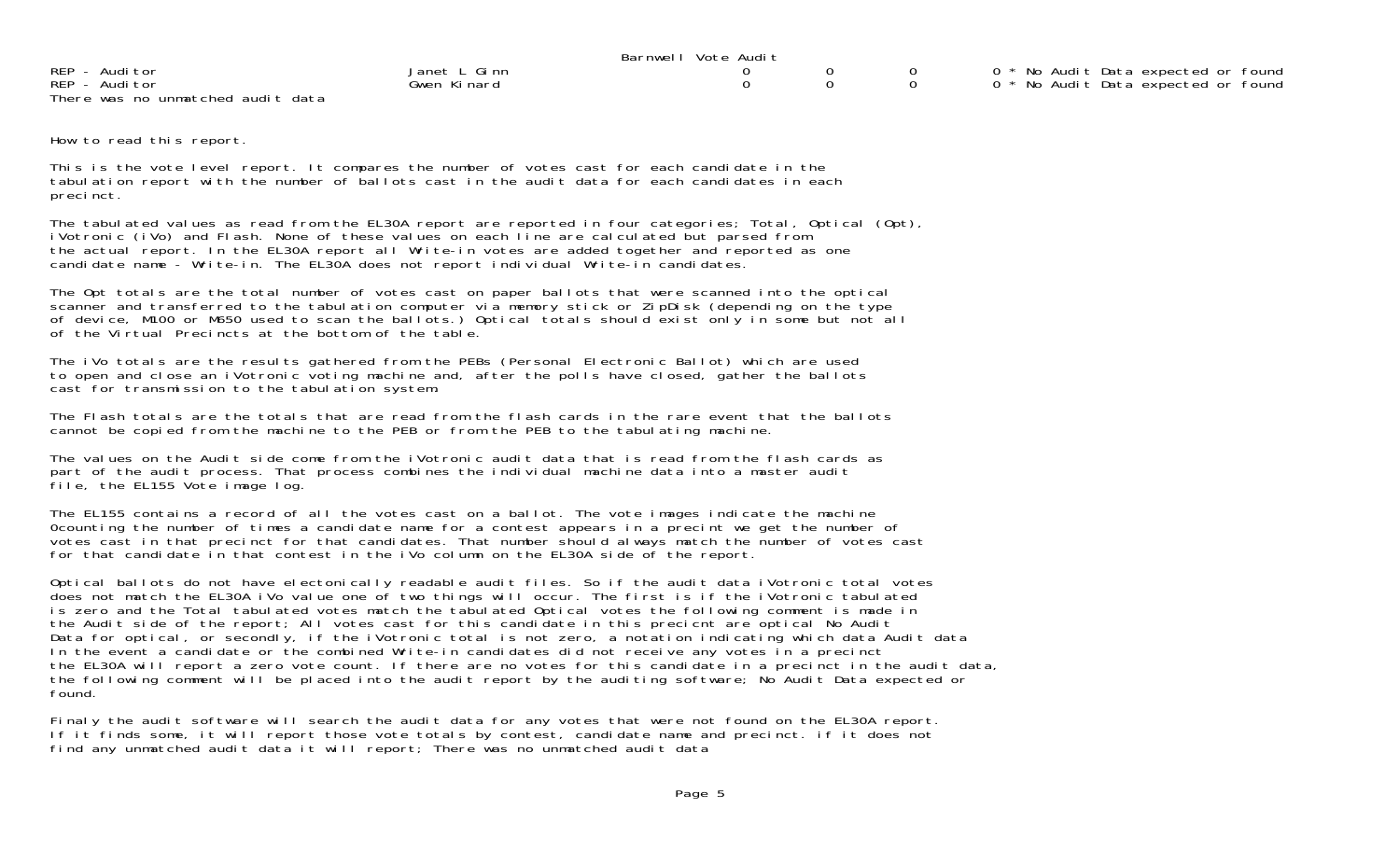|                                   |              | Barnwell Vote Audit |  |                                     |
|-----------------------------------|--------------|---------------------|--|-------------------------------------|
| REP - Auditor                     | Janet L Ginn |                     |  | 0 * No Audit Data expected or found |
| REP - Auditor                     | Gwen Kinard  |                     |  | 0 * No Audit Data expected or found |
| There was no unmatched audit data |              |                     |  |                                     |

How to read this report.

This is the vote level report. It compares the number of votes cast for each candidate in the tabulation report with the number of ballots cast in the audit data for each candidates in each precinct.

The tabulated values as read from the EL30A report are reported in four categories; Total, Optical (Opt), iVotronic (iVo) and Flash. None of these values on each line are calculated but parsed from the actual report. In the EL30A report all Write-in votes are added together and reported as one candidate name - Write-in. The EL30A does not report individual Write-in candidates.

The Opt totals are the total number of votes cast on paper ballots that were scanned into the optical scanner and transferred to the tabulation computer via memory stick or ZipDisk (depending on the type of device, M100 or M650 used to scan the ballots.) Optical totals should exist only in some but not all of the Virtual Precincts at the bottom of the table.

The iVo totals are the results gathered from the PEBs (Personal Electronic Ballot) which are used to open and close an iVotronic voting machine and, after the polls have closed, gather the ballots cast for transmission to the tabulation system.

The Flash totals are the totals that are read from the flash cards in the rare event that the ballots cannot be copied from the machine to the PEB or from the PEB to the tabulating machine.

The values on the Audit side come from the iVotronic audit data that is read from the flash cards as part of the audit process. That process combines the individual machine data into a master audit file, the EL155 Vote image log.

The EL155 contains a record of all the votes cast on a ballot. The vote images indicate the machine 0counting the number of times a candidate name for a contest appears in a precint we get the number of votes cast in that precinct for that candidates. That number should always match the number of votes cast for that candidate in that contest in the iVo column on the EL30A side of the report.

Optical ballots do not have electonically readable audit files. So if the audit data iVotronic total votes does not match the EL30A iVo value one of two things will occur. The first is if the iVotronic tabulated is zero and the Total tabulated votes match the tabulated Optical votes the following comment is made in the Audit side of the report; All votes cast for this candidate in this precient are optical No Audit Data for optical, or secondly, if the iVotronic total is not zero, a notation indicating which data Audit data In the event a candidate or the combined Write-in candidates did not receive any votes in a precinct the EL30A will report a zero vote count. If there are no votes for this candidate in a precinct in the audit data, the following comment will be placed into the audit report by the auditing software; No Audit Data expected or found.

Finaly the audit software will search the audit data for any votes that were not found on the EL30A report. If it finds some, it will report those vote totals by contest, candidate name and precinct. if it does not find any unmatched audit data it will report; There was no unmatched audit data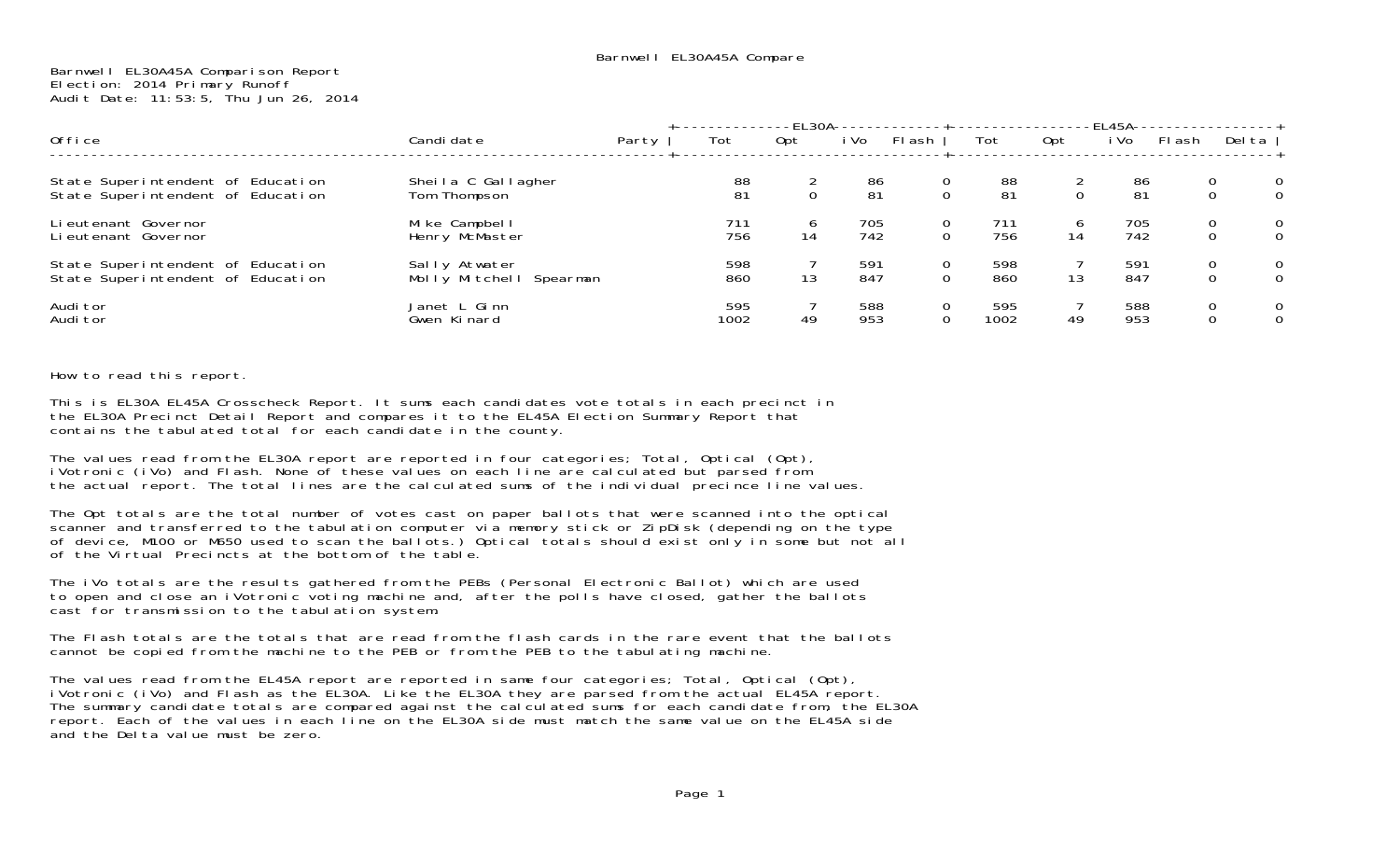## Barnwell EL30A45A Comparison Report Election: 2014 Primary Runoff Audit Date: 11:53:5, Thu Jun 26, 2014

|                                                                        |                                          |       |             | -EL30A-     |            |                |                              |              | -EL45A-    |        |                                             |
|------------------------------------------------------------------------|------------------------------------------|-------|-------------|-------------|------------|----------------|------------------------------|--------------|------------|--------|---------------------------------------------|
| Office                                                                 | Candi date                               | Party | Tot         | 0pt         | i Vo       | FI ash         | Tot                          | Opt          | i Vo       | FI ash | Del ta                                      |
| State Superintendent of Education<br>State Superintendent of Education | Sheila C Gallagher<br>Tom Thompson       |       | 88<br>81    | $\mathbf 0$ | 86<br>81   | 0              | 88<br>$\overline{0}$<br>81   | $\mathbf{O}$ | 86<br>81   |        | 0<br>0<br>$\mathbf 0$<br>0                  |
| Li eutenant Governor<br>Lieutenant Governor                            | Mike Campbell<br>Henry McMaster          |       | 711<br>756  | 6<br>14     | 705<br>742 | $\overline{O}$ | 711<br>$\mathbf{O}$<br>756   | 6<br>14      | 705<br>742 |        | $\mathbf 0$<br>$\mathbf 0$<br>0<br>$\Omega$ |
| State Superintendent of Education<br>State Superintendent of Education | Sally Atwater<br>Molly Mitchell Spearman |       | 598<br>860  | 13          | 591<br>847 |                | 0<br>598<br>0<br>860         | 13           | 591<br>847 |        | 0<br>0<br>0<br>$\Omega$                     |
| Audi tor<br>Audi tor                                                   | Janet L Ginn<br>Gwen Kinard              |       | 595<br>1002 | 49          | 588<br>953 |                | 595<br>0<br>$\Omega$<br>1002 | 49           | 588<br>953 |        | $\overline{0}$<br>0<br>0<br>0               |

## How to read this report.

This is EL30A EL45A Crosscheck Report. It sums each candidates vote totals in each precinct in the EL30A Precinct Detail Report and compares it to the EL45A Election Summary Report that contains the tabulated total for each candidate in the county.

The values read from the EL30A report are reported in four categories; Total, Optical (Opt), iVotronic (iVo) and Flash. None of these values on each line are calculated but parsed from the actual report. The total lines are the calculated sums of the individual precince line values.

The Opt totals are the total number of votes cast on paper ballots that were scanned into the optical scanner and transferred to the tabulation computer via memory stick or ZipDisk (depending on the type of device, M100 or M650 used to scan the ballots.) Optical totals should exist only in some but not all of the Virtual Precincts at the bottom of the table.

The iVo totals are the results gathered from the PEBs (Personal Electronic Ballot) which are used to open and close an iVotronic voting machine and, after the polls have closed, gather the ballots cast for transmission to the tabulation system.

The Flash totals are the totals that are read from the flash cards in the rare event that the ballots cannot be copied from the machine to the PEB or from the PEB to the tabulating machine.

The values read from the EL45A report are reported in same four categories; Total, Optical (Opt), iVotronic (iVo) and Flash as the EL30A. Like the EL30A they are parsed from the actual EL45A report. The summary candidate totals are compared against the calculated sums for each candidate from, the EL30A report. Each of the values in each line on the EL30A side must match the same value on the EL45A side and the Delta value must be zero.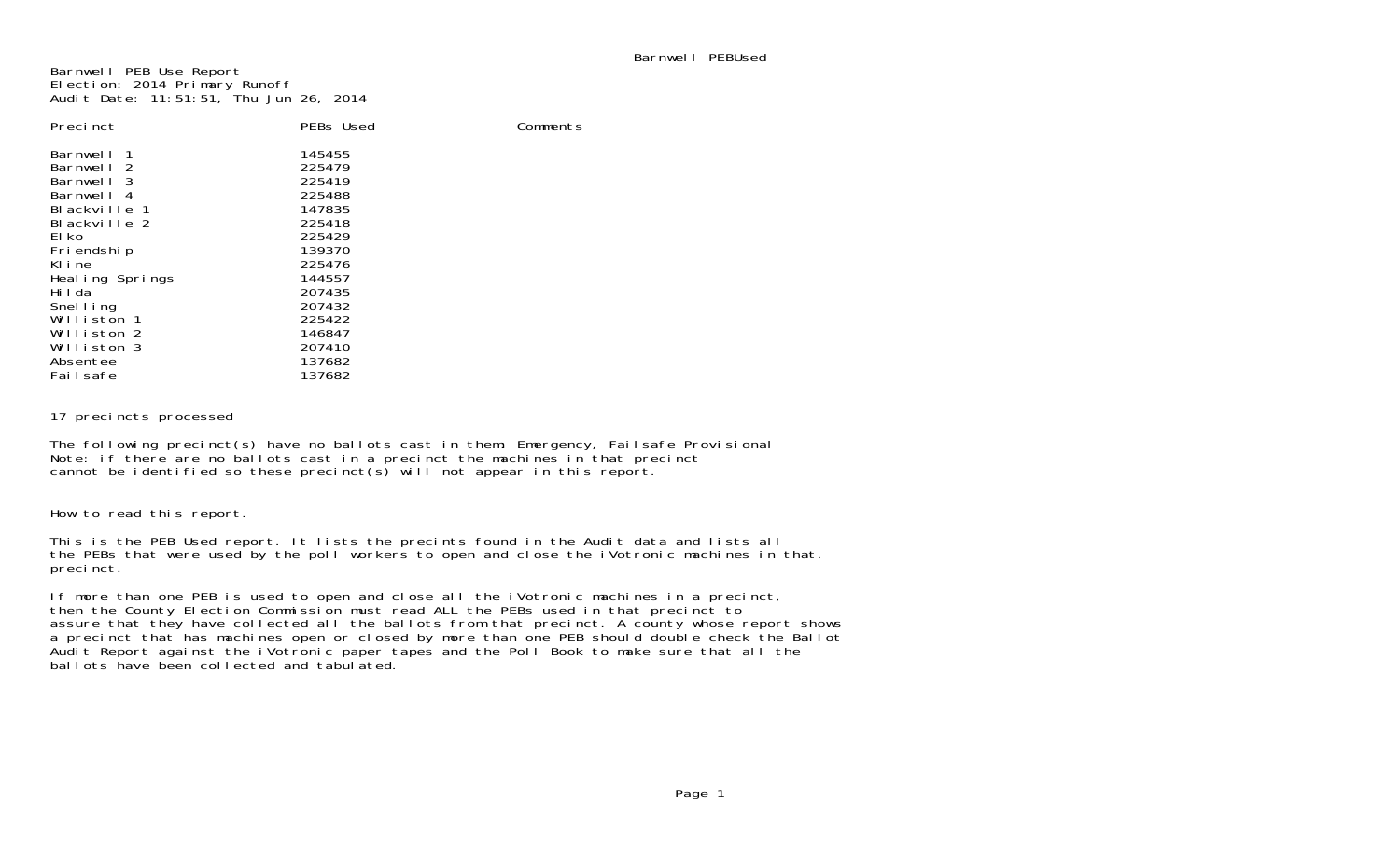Comments

Barnwell PEB Use Report Election: 2014 Primary Runoff Audit Date: 11:51:51, Thu Jun 26, 2014

| Precinct        | PEBs Used |
|-----------------|-----------|
| Barnwell<br>-1  | 145455    |
| - 2<br>Barnwell | 225479    |
| - 3<br>Barnwell | 225419    |
| Barnwell<br>- 4 | 225488    |
| Blackville 1    | 147835    |
| Blackville 2    | 225418    |
| El ko           | 225429    |
| Friendship      | 139370    |
| KI i ne         | 225476    |
| Healing Springs | 144557    |
| Hi I da         | 207435    |
| Snelling        | 207432    |
| Williston 1     | 225422    |
| Williston 2     | 146847    |
| Williston 3     | 207410    |
| Absentee        | 137682    |
| Failsafe        | 137682    |

17 precincts processed

The following precinct(s) have no ballots cast in them: Emergency, Failsafe Provisional Note: if there are no ballots cast in a precinct the machines in that precinct cannot be identified so these precinct(s) will not appear in this report.

How to read this report.

This is the PEB Used report. It lists the precints found in the Audit data and lists all the PEBs that were used by the poll workers to open and close the iVotronic machines in that. precinct.

If more than one PEB is used to open and close all the iVotronic machines in a precinct, then the County Election Commission must read ALL the PEBs used in that precinct to assure that they have collected all the ballots from that precinct. A county whose report shows a precinct that has machines open or closed by more than one PEB should double check the Ballot Audit Report against the iVotronic paper tapes and the Poll Book to make sure that all the ballots have been collected and tabulated.